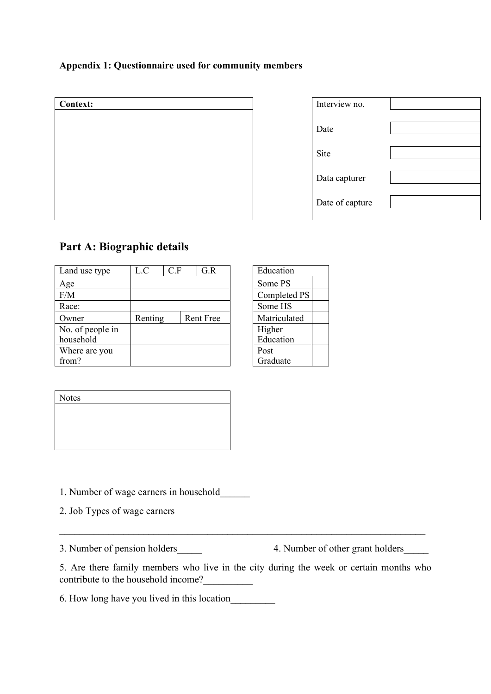# **Appendix 1: Questionnaire used for community members**

| <b>Context:</b> | Interview no. |
|-----------------|---------------|
|                 | Date          |
|                 | Site          |
|                 | Data capturer |
|                 | Date of captu |

| Interview no.   |  |
|-----------------|--|
|                 |  |
| Date            |  |
|                 |  |
| Site            |  |
|                 |  |
| Data capturer   |  |
|                 |  |
| Date of capture |  |
|                 |  |

# **Part A: Biographic details**

| Land use type    | L.C                         | C.F |              | G.R | Education    |
|------------------|-----------------------------|-----|--------------|-----|--------------|
| Age              |                             |     | Some PS      |     |              |
| F/M              |                             |     |              |     | Completed PS |
| Race:            |                             |     | Some HS      |     |              |
| Owner            | Renting<br><b>Rent Free</b> |     | Matriculated |     |              |
| No. of people in |                             |     | Higher       |     |              |
| household        |                             |     | Education    |     |              |
| Where are you    |                             |     | Post         |     |              |
| from?            |                             |     | Graduate     |     |              |

| Education    |  |
|--------------|--|
| Some PS      |  |
| Completed PS |  |
| Some HS      |  |
| Matriculated |  |
| Higher       |  |
| Education    |  |
| Post         |  |
| Graduate     |  |

| Notes |  |  |  |
|-------|--|--|--|
|       |  |  |  |
|       |  |  |  |
|       |  |  |  |
|       |  |  |  |

1. Number of wage earners in household\_\_\_\_\_\_

2. Job Types of wage earners

3. Number of pension holders 4. Number of other grant holders

5. Are there family members who live in the city during the week or certain months who contribute to the household income?

 $\_$  , and the set of the set of the set of the set of the set of the set of the set of the set of the set of the set of the set of the set of the set of the set of the set of the set of the set of the set of the set of th

6. How long have you lived in this location\_\_\_\_\_\_\_\_\_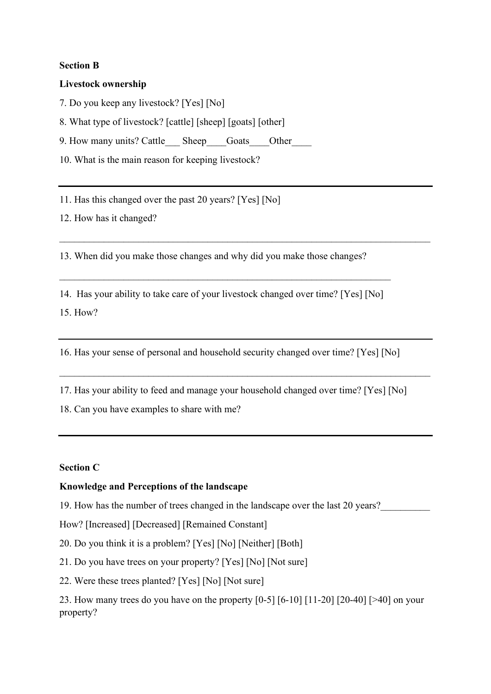## **Section B**

### **Livestock ownership**

7. Do you keep any livestock? [Yes] [No]

8. What type of livestock? [cattle] [sheep] [goats] [other]

9. How many units? Cattle Sheep Goats Other

10. What is the main reason for keeping livestock?

11. Has this changed over the past 20 years? [Yes] [No]

12. How has it changed?

13. When did you make those changes and why did you make those changes?

\_\_\_\_\_\_\_\_\_\_\_\_\_\_\_\_\_\_\_\_\_\_\_\_\_\_\_\_\_\_\_\_\_\_\_\_\_\_\_\_\_\_\_\_\_\_\_\_\_\_\_\_\_\_\_\_\_\_\_\_\_\_\_\_\_\_\_\_\_\_\_\_\_\_\_

14. Has your ability to take care of your livestock changed over time? [Yes] [No] 15. How?

 $\_$  , and the set of the set of the set of the set of the set of the set of the set of the set of the set of the set of the set of the set of the set of the set of the set of the set of the set of the set of the set of th

16. Has your sense of personal and household security changed over time? [Yes] [No]

17. Has your ability to feed and manage your household changed over time? [Yes] [No] 18. Can you have examples to share with me?

\_\_\_\_\_\_\_\_\_\_\_\_\_\_\_\_\_\_\_\_\_\_\_\_\_\_\_\_\_\_\_\_\_\_\_\_\_\_\_\_\_\_\_\_\_\_\_\_\_\_\_\_\_\_\_\_\_\_\_\_\_\_\_\_\_\_\_\_\_\_\_\_\_\_\_

## **Section C**

## **Knowledge and Perceptions of the landscape**

19. How has the number of trees changed in the landscape over the last 20 years?

How? [Increased] [Decreased] [Remained Constant]

20. Do you think it is a problem? [Yes] [No] [Neither] [Both]

21. Do you have trees on your property? [Yes] [No] [Not sure]

22. Were these trees planted? [Yes] [No] [Not sure]

23. How many trees do you have on the property [0-5] [6-10] [11-20] [20-40] [>40] on your property?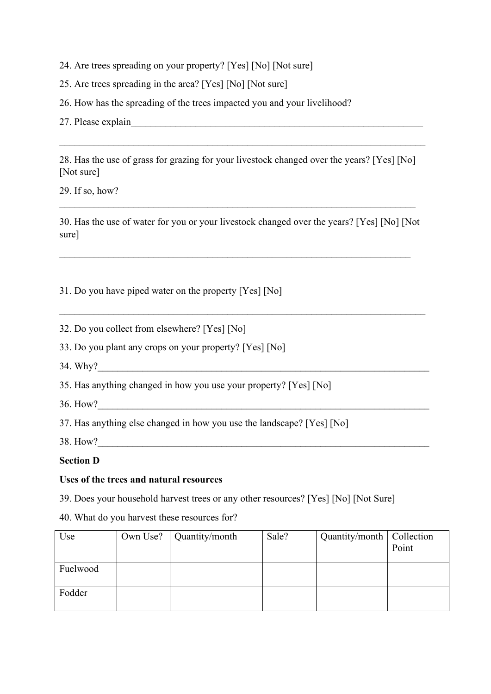- 24. Are trees spreading on your property? [Yes] [No] [Not sure]
- 25. Are trees spreading in the area? [Yes] [No] [Not sure]
- 26. How has the spreading of the trees impacted you and your livelihood?
- 27. Please explain\_\_\_\_\_\_\_\_\_\_\_\_\_\_\_\_\_\_\_\_\_\_\_\_\_\_\_\_\_\_\_\_\_\_\_\_\_\_\_\_\_\_\_\_\_\_\_\_\_\_\_\_\_\_\_\_\_\_\_

28. Has the use of grass for grazing for your livestock changed over the years? [Yes] [No] [Not sure]

 $\_$  , and the set of the set of the set of the set of the set of the set of the set of the set of the set of the set of the set of the set of the set of the set of the set of the set of the set of the set of the set of th

29. If so, how?

30. Has the use of water for you or your livestock changed over the years? [Yes] [No] [Not sure]

 $\_$  , and the set of the set of the set of the set of the set of the set of the set of the set of the set of the set of the set of the set of the set of the set of the set of the set of the set of the set of the set of th

 $\_$  , and the set of the set of the set of the set of the set of the set of the set of the set of the set of the set of the set of the set of the set of the set of the set of the set of the set of the set of the set of th

31. Do you have piped water on the property [Yes] [No]

32. Do you collect from elsewhere? [Yes] [No]

33. Do you plant any crops on your property? [Yes] [No]

34. Why?

35. Has anything changed in how you use your property? [Yes] [No]

36. How?

37. Has anything else changed in how you use the landscape? [Yes] [No]

38. How?

### **Section D**

### **Uses of the trees and natural resources**

39. Does your household harvest trees or any other resources? [Yes] [No] [Not Sure]

40. What do you harvest these resources for?

| Use      | Own Use? $\vert$ Quantity/month | Sale? | Quantity/month   Collection | Point |
|----------|---------------------------------|-------|-----------------------------|-------|
|          |                                 |       |                             |       |
| Fuelwood |                                 |       |                             |       |
|          |                                 |       |                             |       |
| Fodder   |                                 |       |                             |       |
|          |                                 |       |                             |       |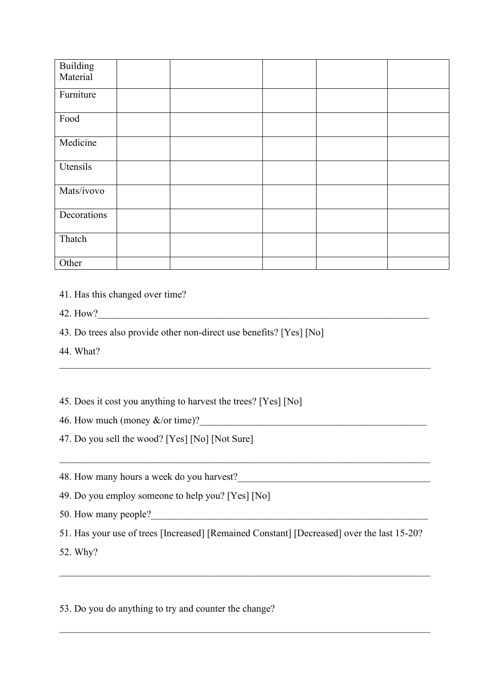| Building<br>Material |  |  |  |
|----------------------|--|--|--|
| Furniture            |  |  |  |
| Food                 |  |  |  |
| Medicine             |  |  |  |
| Utensils             |  |  |  |
| Mats/ivovo           |  |  |  |
| Decorations          |  |  |  |
| Thatch               |  |  |  |
| Other                |  |  |  |

- 41. Has this changed over time?
- 42. How?
- 43. Do trees also provide other non-direct use benefits? [Yes] [No]
- 44. What?
- 45. Does it cost you anything to harvest the trees? [Yes] [No]
- 46. How much (money  $&\&\text{/or time}$ )?
- 47. Do you sell the wood? [Yes] [No] [Not Sure]
- 48. How many hours a week do you harvest?
- 49. Do you employ someone to help you? [Yes] [No]
- 50. How many people?
- 51. Has your use of trees [Increased] [Remained Constant] [Decreased] over the last 15-20?

 $\_$  , and the set of the set of the set of the set of the set of the set of the set of the set of the set of the set of the set of the set of the set of the set of the set of the set of the set of the set of the set of th

\_\_\_\_\_\_\_\_\_\_\_\_\_\_\_\_\_\_\_\_\_\_\_\_\_\_\_\_\_\_\_\_\_\_\_\_\_\_\_\_\_\_\_\_\_\_\_\_\_\_\_\_\_\_\_\_\_\_\_\_\_\_\_\_\_\_\_\_\_\_\_\_\_\_\_

\_\_\_\_\_\_\_\_\_\_\_\_\_\_\_\_\_\_\_\_\_\_\_\_\_\_\_\_\_\_\_\_\_\_\_\_\_\_\_\_\_\_\_\_\_\_\_\_\_\_\_\_\_\_\_\_\_\_\_\_\_\_\_\_\_\_\_\_\_\_\_\_\_\_\_

\_\_\_\_\_\_\_\_\_\_\_\_\_\_\_\_\_\_\_\_\_\_\_\_\_\_\_\_\_\_\_\_\_\_\_\_\_\_\_\_\_\_\_\_\_\_\_\_\_\_\_\_\_\_\_\_\_\_\_\_\_\_\_\_\_\_\_\_\_\_\_\_\_\_\_

52. Why?

53. Do you do anything to try and counter the change?